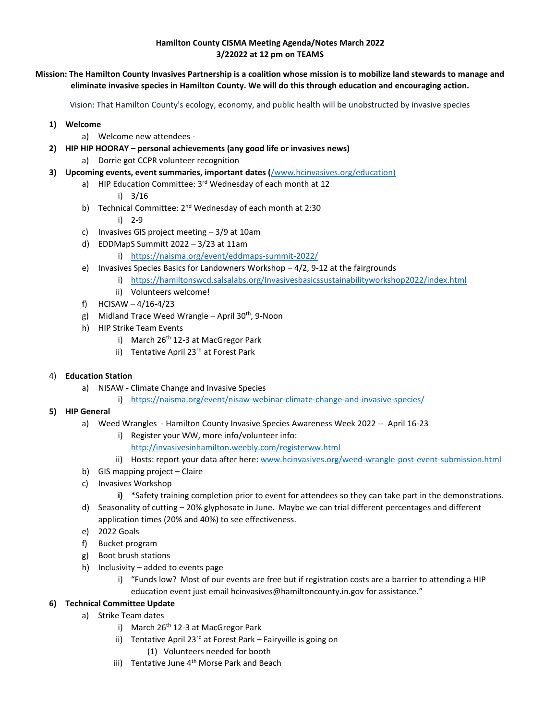## **Hamilton County CISMA Meeting Agenda/Notes March 2022 3/22022 at 12 pm on TEAMS**

## **Mission: The Hamilton County Invasives Partnership is a coalition whose mission is to mobilize land stewards to manage and eliminate invasive species in Hamilton County. We will do this through education and encouraging action.**

Vision: That Hamilton County's ecology, economy, and public health will be unobstructed by invasive species

- **1) Welcome** 
	- a) Welcome new attendees -
- **2) HIP HIP HOORAY – personal achievements (any good life or invasives news)**
	- a) Dorrie got CCPR volunteer recognition
- **3) Upcoming events, event summaries, important dates (**[/www.hcinvasives.org/education\)](http://www.hcinvasives.org/education.html)
	- a) HIP Education Committee:  $3<sup>rd</sup>$  Wednesday of each month at 12
		- i) 3/16
	- b) Technical Committee: 2<sup>nd</sup> Wednesday of each month at 2:30
		- i) 2-9
	- c) Invasives GIS project meeting 3/9 at 10am
	- d) EDDMapS Summitt 2022 3/23 at 11am
		- i) <https://naisma.org/event/eddmaps-summit-2022/>
	- e) Invasives Species Basics for Landowners Workshop 4/2, 9-12 at the fairgrounds
		- i) <https://hamiltonswcd.salsalabs.org/Invasivesbasicssustainabilityworkshop2022/index.html>
			- ii) Volunteers welcome!
	- f) HCISAW 4/16-4/23
	- g) Midland Trace Weed Wrangle April 30<sup>th</sup>, 9-Noon
	- h) HIP Strike Team Events
		- i) March 26<sup>th</sup> 12-3 at MacGregor Park
		- ii) Tentative April 23<sup>rd</sup> at Forest Park
- 4) **Education Station** 
	- a) NISAW Climate Change and Invasive Species
		- i) <https://naisma.org/event/nisaw-webinar-climate-change-and-invasive-species/>
- **5) HIP General** 
	- a) Weed Wrangles Hamilton County Invasive Species Awareness Week 2022 -- April 16-23
		- i) Register your WW, more info/volunteer info:
		- <http://invasivesinhamilton.weebly.com/registerww.html>
		- ii) Hosts: report your data after here[: www.hcinvasives.org/weed-wrangle-post-event-submission.html](http://www.hcinvasives.org/weed-wrangle-post-event-submission.html)
	- b) GIS mapping project Claire
	- c) Invasives Workshop
		- **i)** \*Safety training completion prior to event for attendees so they can take part in the demonstrations.
	- d) Seasonality of cutting 20% glyphosate in June. Maybe we can trial different percentages and different application times (20% and 40%) to see effectiveness.
	- e) 2022 Goals
	- f) Bucket program
	- g) Boot brush stations
	- h) Inclusivity added to events page
		- i) "Funds low? Most of our events are free but if registration costs are a barrier to attending a HIP education event just email hcinvasives@hamiltoncounty.in.gov for assistance."
- **6) Technical Committee Update**
	- a) Strike Team dates
		- i) March 26<sup>th</sup> 12-3 at MacGregor Park
		- ii) Tentative April  $23^{rd}$  at Forest Park Fairyville is going on
			- (1) Volunteers needed for booth
		- iii) Tentative June  $4<sup>th</sup>$  Morse Park and Beach